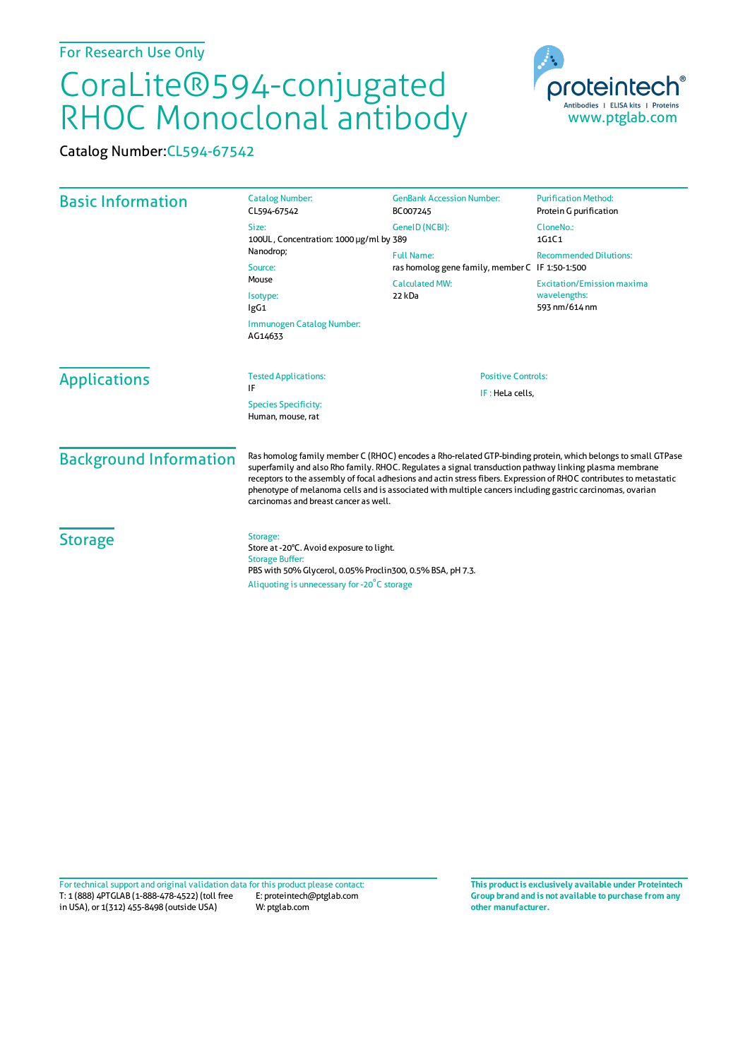## CoraLite®594-conjugated RHOC Monoclonal antibody

Catalog Number:CL594-67542

| <b>Basic Information</b>      | <b>Catalog Number:</b><br>CL594-67542                                                                                                                                                                                                                                                                                                                                                                                                                                                             | <b>GenBank Accession Number:</b><br>BC007245                                       | <b>Purification Method:</b><br>Protein G purification              |
|-------------------------------|---------------------------------------------------------------------------------------------------------------------------------------------------------------------------------------------------------------------------------------------------------------------------------------------------------------------------------------------------------------------------------------------------------------------------------------------------------------------------------------------------|------------------------------------------------------------------------------------|--------------------------------------------------------------------|
|                               | Size:<br>100UL, Concentration: 1000 µg/ml by 389<br>Nanodrop;<br>Source:<br>Mouse<br>Isotype:<br>lgG1<br>Immunogen Catalog Number:                                                                                                                                                                                                                                                                                                                                                                | GenelD (NCBI):<br><b>Full Name:</b>                                                | CloneNo.:<br>1G1C1<br><b>Recommended Dilutions:</b>                |
|                               |                                                                                                                                                                                                                                                                                                                                                                                                                                                                                                   | ras homolog gene family, member C IF 1:50-1:500<br><b>Calculated MW:</b><br>22 kDa | <b>Excitation/Emission maxima</b><br>wavelengths:<br>593 nm/614 nm |
| <b>Applications</b>           | AG14633<br><b>Tested Applications:</b><br>IF<br><b>Species Specificity:</b><br>Human, mouse, rat                                                                                                                                                                                                                                                                                                                                                                                                  | <b>Positive Controls:</b><br>IF: HeLa cells,                                       |                                                                    |
| <b>Background Information</b> | Ras homolog family member C (RHOC) encodes a Rho-related GTP-binding protein, which belongs to small GTPase<br>superfamily and also Rho family. RHOC. Regulates a signal transduction pathway linking plasma membrane<br>receptors to the assembly of focal adhesions and actin stress fibers. Expression of RHOC contributes to metastatic<br>phenotype of melanoma cells and is associated with multiple cancers including gastric carcinomas, ovarian<br>carcinomas and breast cancer as well. |                                                                                    |                                                                    |
| <b>Storage</b>                | Storage:<br>Store at -20°C. Avoid exposure to light.<br><b>Storage Buffer:</b><br>PBS with 50% Glycerol, 0.05% Proclin300, 0.5% BSA, pH 7.3.<br>Aliquoting is unnecessary for -20°C storage                                                                                                                                                                                                                                                                                                       |                                                                                    |                                                                    |

T: 1 (888) 4PTGLAB (1-888-478-4522) (toll free in USA), or 1(312) 455-8498 (outside USA) E: proteintech@ptglab.com W: ptglab.com Fortechnical support and original validation data forthis product please contact: **This productis exclusively available under Proteintech**

**Group brand and is not available to purchase from any other manufacturer.**